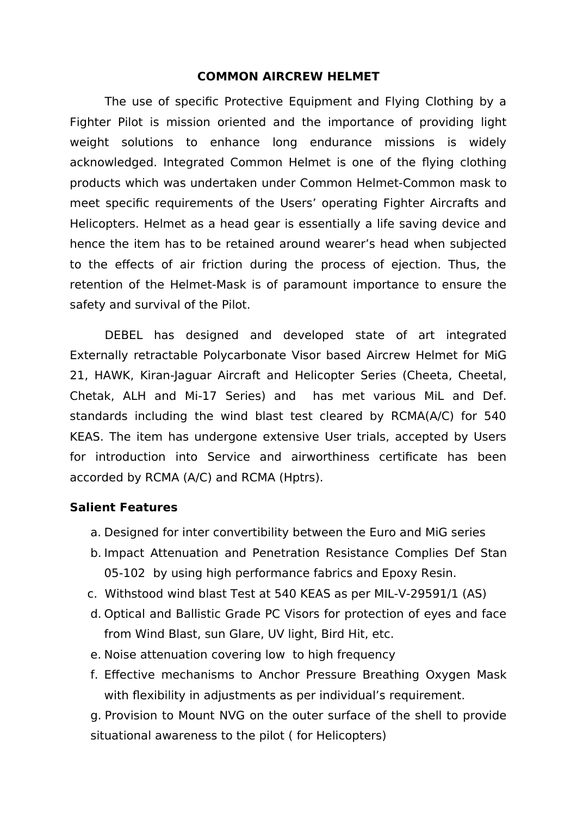## **COMMON AIRCREW HELMET**

The use of specific Protective Equipment and Flying Clothing by a Fighter Pilot is mission oriented and the importance of providing light weight solutions to enhance long endurance missions is widely acknowledged. Integrated Common Helmet is one of the flying clothing products which was undertaken under Common Helmet-Common mask to meet specific requirements of the Users' operating Fighter Aircrafts and Helicopters. Helmet as a head gear is essentially a life saving device and hence the item has to be retained around wearer's head when subjected to the effects of air friction during the process of ejection. Thus, the retention of the Helmet-Mask is of paramount importance to ensure the safety and survival of the Pilot.

DEBEL has designed and developed state of art integrated Externally retractable Polycarbonate Visor based Aircrew Helmet for MiG 21, HAWK, Kiran-Jaguar Aircraft and Helicopter Series (Cheeta, Cheetal, Chetak, ALH and Mi-17 Series) and has met various MiL and Def. standards including the wind blast test cleared by RCMA(A/C) for 540 KEAS. The item has undergone extensive User trials, accepted by Users for introduction into Service and airworthiness certificate has been accorded by RCMA (A/C) and RCMA (Hptrs).

## **Salient Features**

- a. Designed for inter convertibility between the Euro and MiG series
- b. Impact Attenuation and Penetration Resistance Complies Def Stan 05-102 by using high performance fabrics and Epoxy Resin.
- c. Withstood wind blast Test at 540 KEAS as per MIL-V-29591/1 (AS)
- d. Optical and Ballistic Grade PC Visors for protection of eyes and face from Wind Blast, sun Glare, UV light, Bird Hit, etc.
- e. Noise attenuation covering low to high frequency
- f. Effective mechanisms to Anchor Pressure Breathing Oxygen Mask with flexibility in adjustments as per individual's requirement.

g. Provision to Mount NVG on the outer surface of the shell to provide situational awareness to the pilot ( for Helicopters)